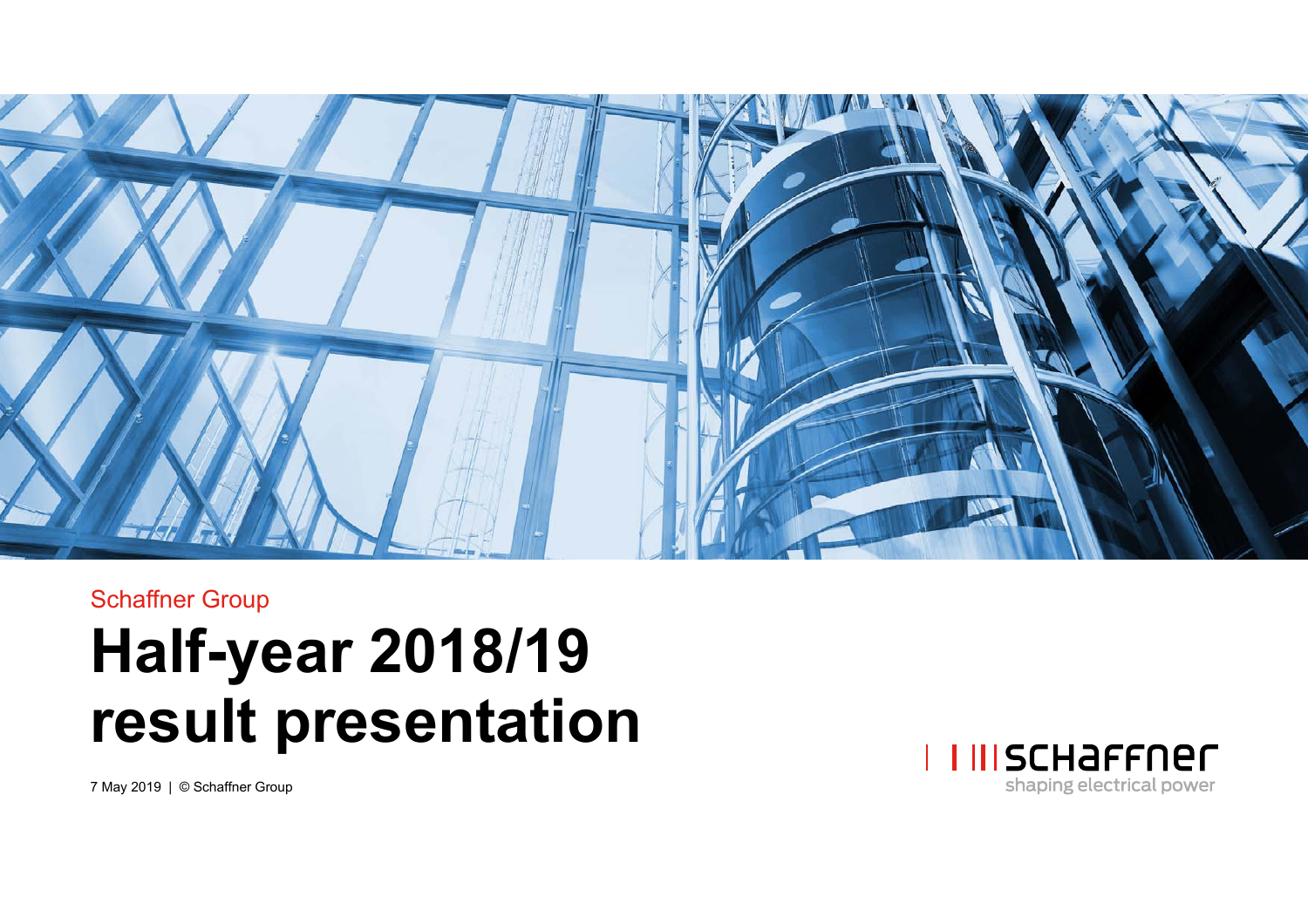

# Schaffner Group **Half-year 2018/19 result presentation**



7 May 2019 | © Schaffner Group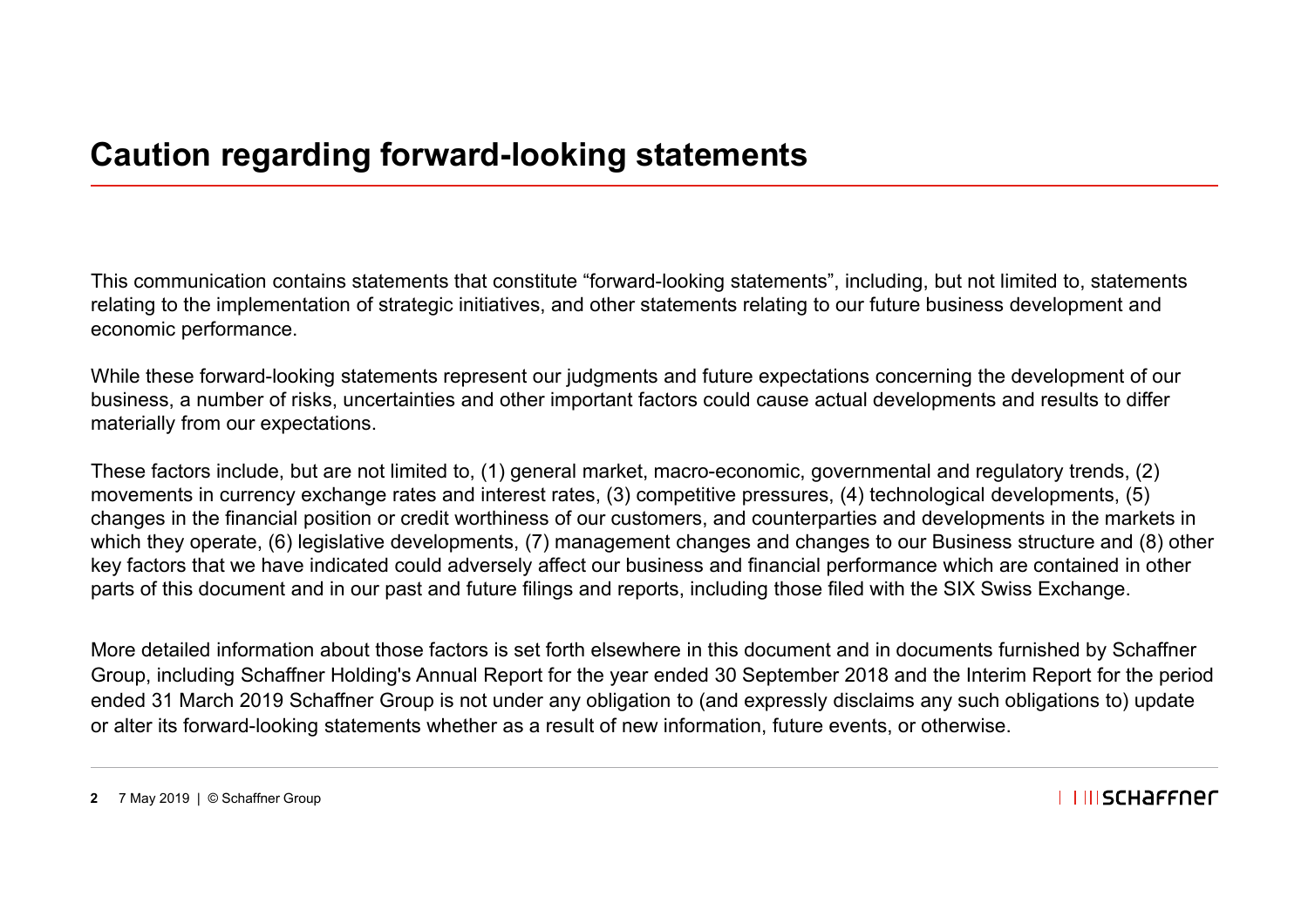This communication contains statements that constitute "forward-looking statements", including, but not limited to, statements relating to the implementation of strategic initiatives, and other statements relating to our future business development and economic performance.

While these forward-looking statements represent our judgments and future expectations concerning the development of our business, a number of risks, uncertainties and other important factors could cause actual developments and results to differ materially from our expectations.

These factors include, but are not limited to, (1) general market, macro-economic, governmental and regulatory trends, (2) movements in currency exchange rates and interest rates, (3) competitive pressures, (4) technological developments, (5) changes in the financial position or credit worthiness of our customers, and counterparties and developments in the markets in which they operate, (6) legislative developments, (7) management changes and changes to our Business structure and (8) other key factors that we have indicated could adversely affect our business and financial performance which are contained in other parts of this document and in our past and future filings and reports, including those filed with the SIX Swiss Exchange.

More detailed information about those factors is set forth elsewhere in this document and in documents furnished by Schaffner Group, including Schaffner Holding's Annual Report for the year ended 30 September 2018 and the Interim Report for the period ended 31 March 2019 Schaffner Group is not under any obligation to (and expressly disclaims any such obligations to) update or alter its forward-looking statements whether as a result of new information, future events, or otherwise.

**2** 7 May 2019 | © Schaffner Group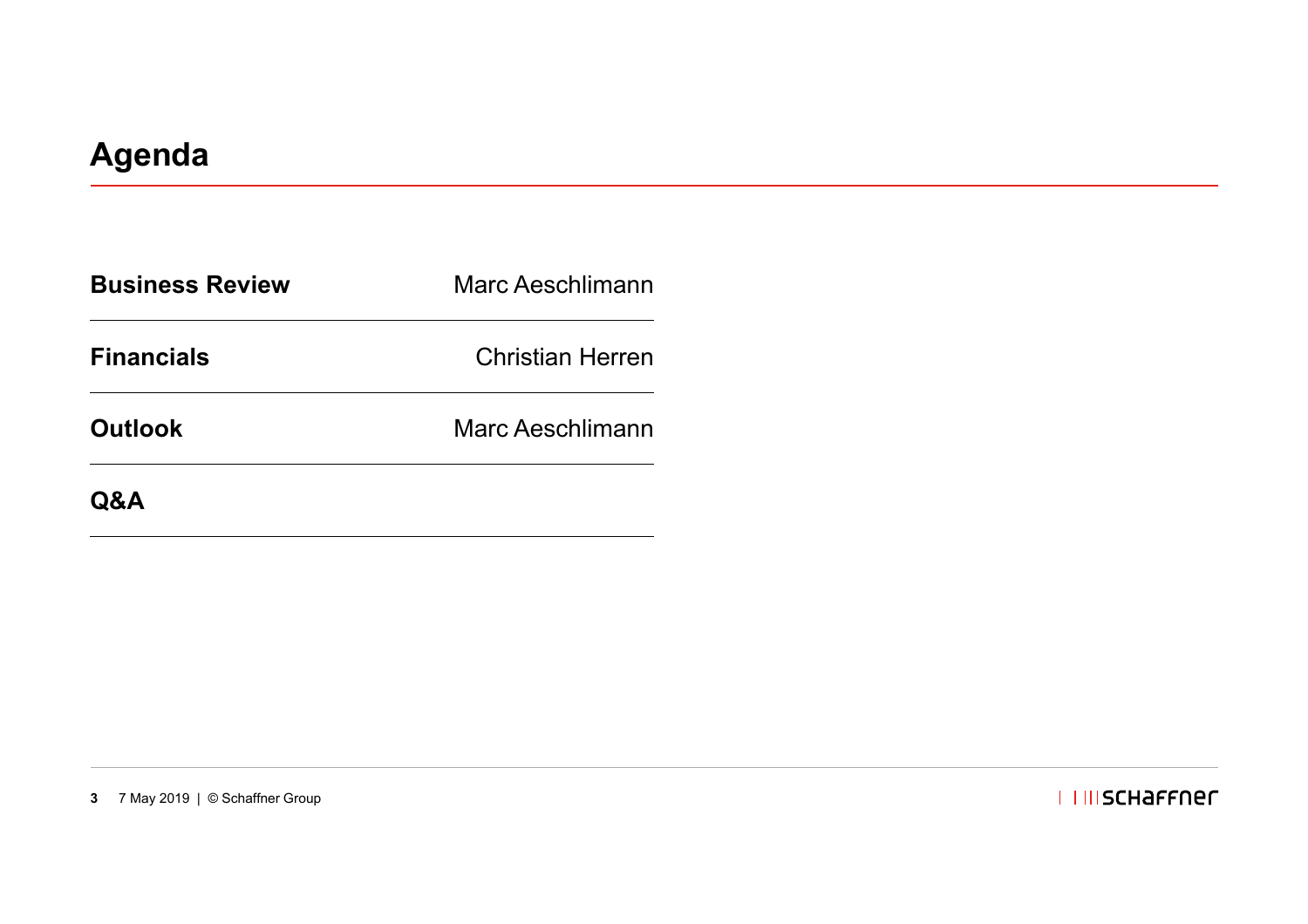| <b>Business Review</b> | Marc Aeschlimann        |
|------------------------|-------------------------|
| <b>Financials</b>      | <b>Christian Herren</b> |
| <b>Outlook</b>         | Marc Aeschlimann        |
| <b>Q&amp;A</b>         |                         |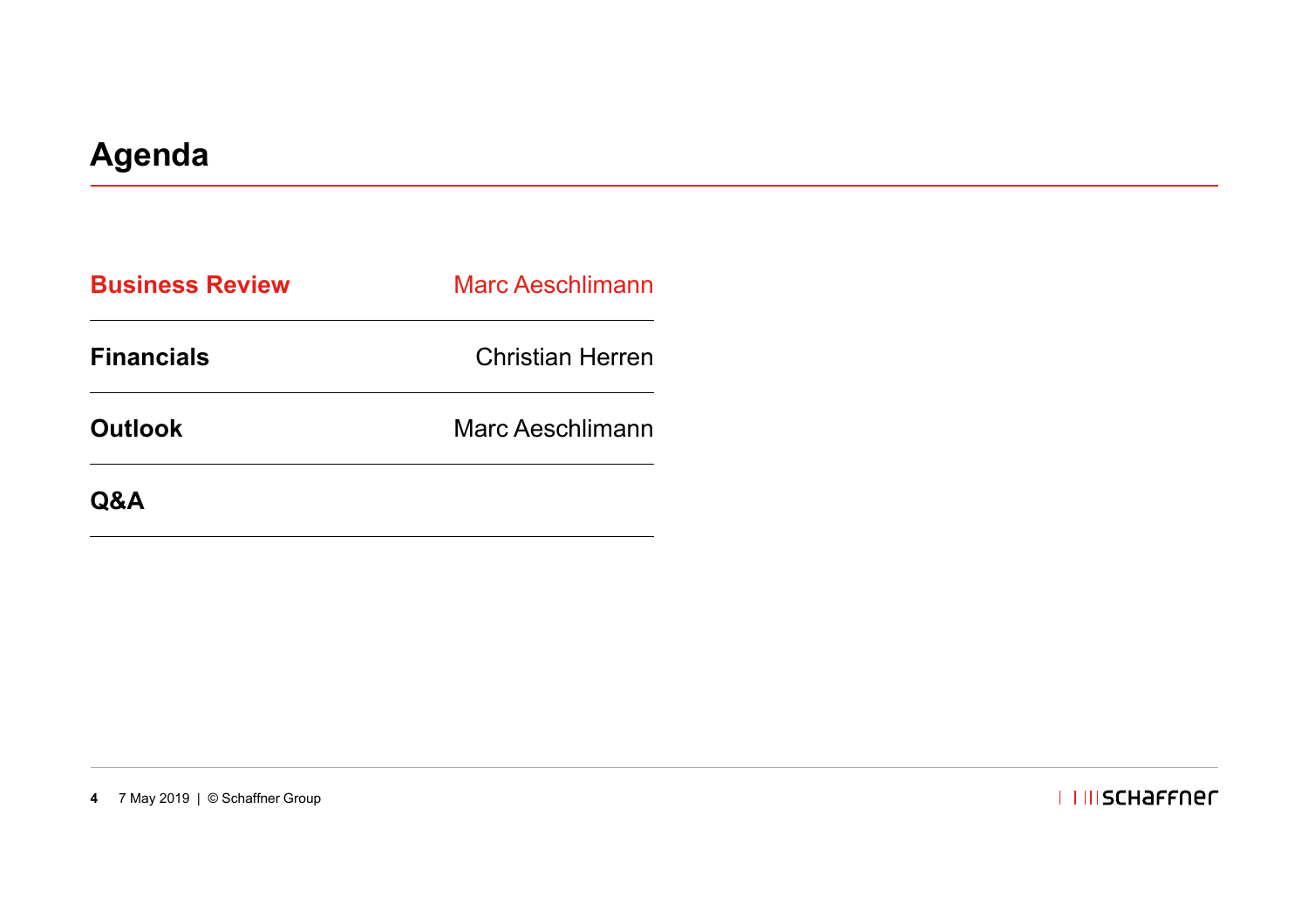| <b>Business Review</b> | <b>Marc Aeschlimann</b> |
|------------------------|-------------------------|
| <b>Financials</b>      | <b>Christian Herren</b> |
| <b>Outlook</b>         | Marc Aeschlimann        |
| Q&A                    |                         |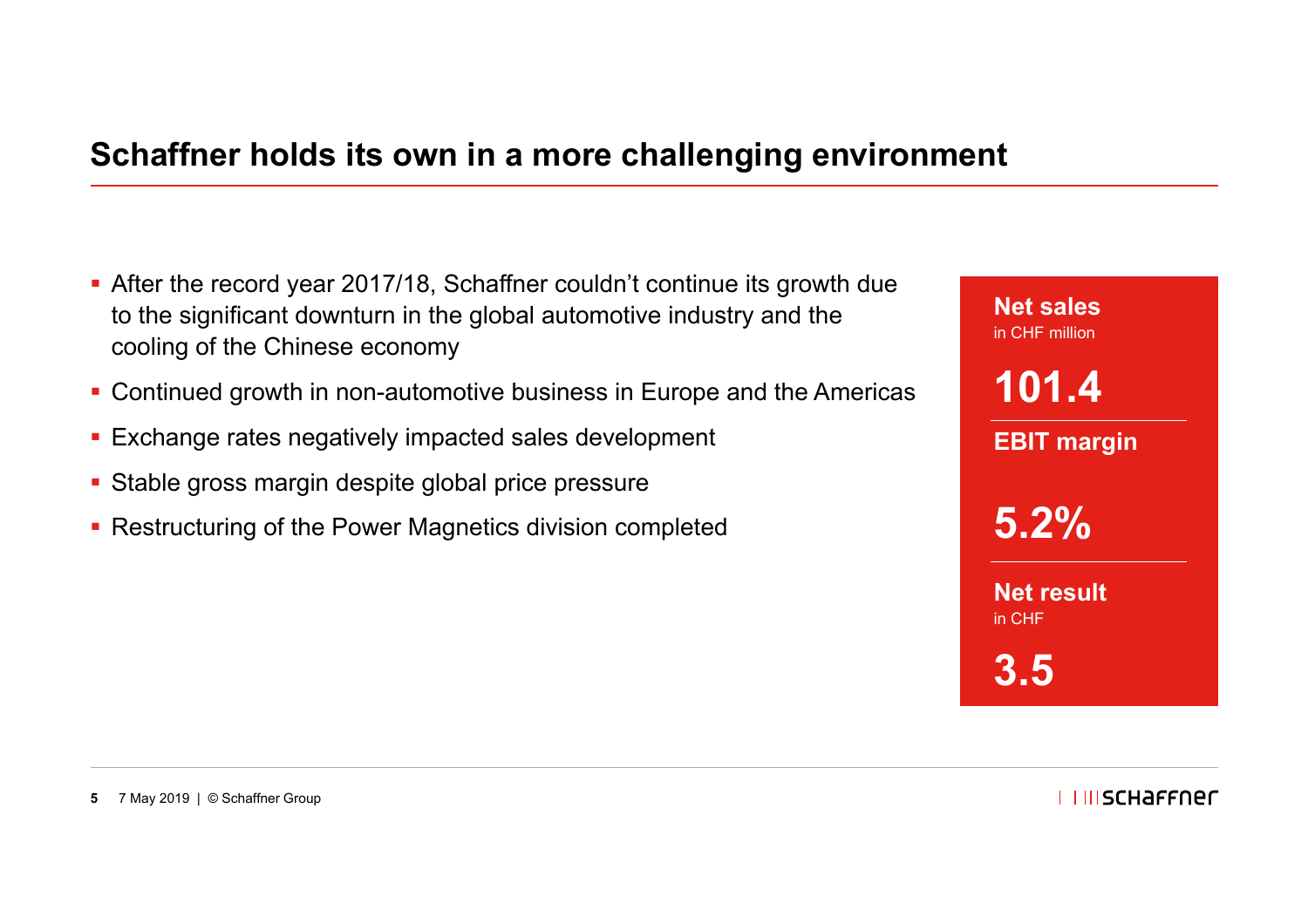#### **Schaffner holds its own in a more challenging environment**

- After the record year 2017/18, Schaffner couldn't continue its growth due to the significant downturn in the global automotive industry and the cooling of the Chinese economy
- Continued growth in non-automotive business in Europe and the Americas
- Exchange rates negatively impacted sales development
- Stable gross margin despite global price pressure
- Restructuring of the Power Magnetics division completed

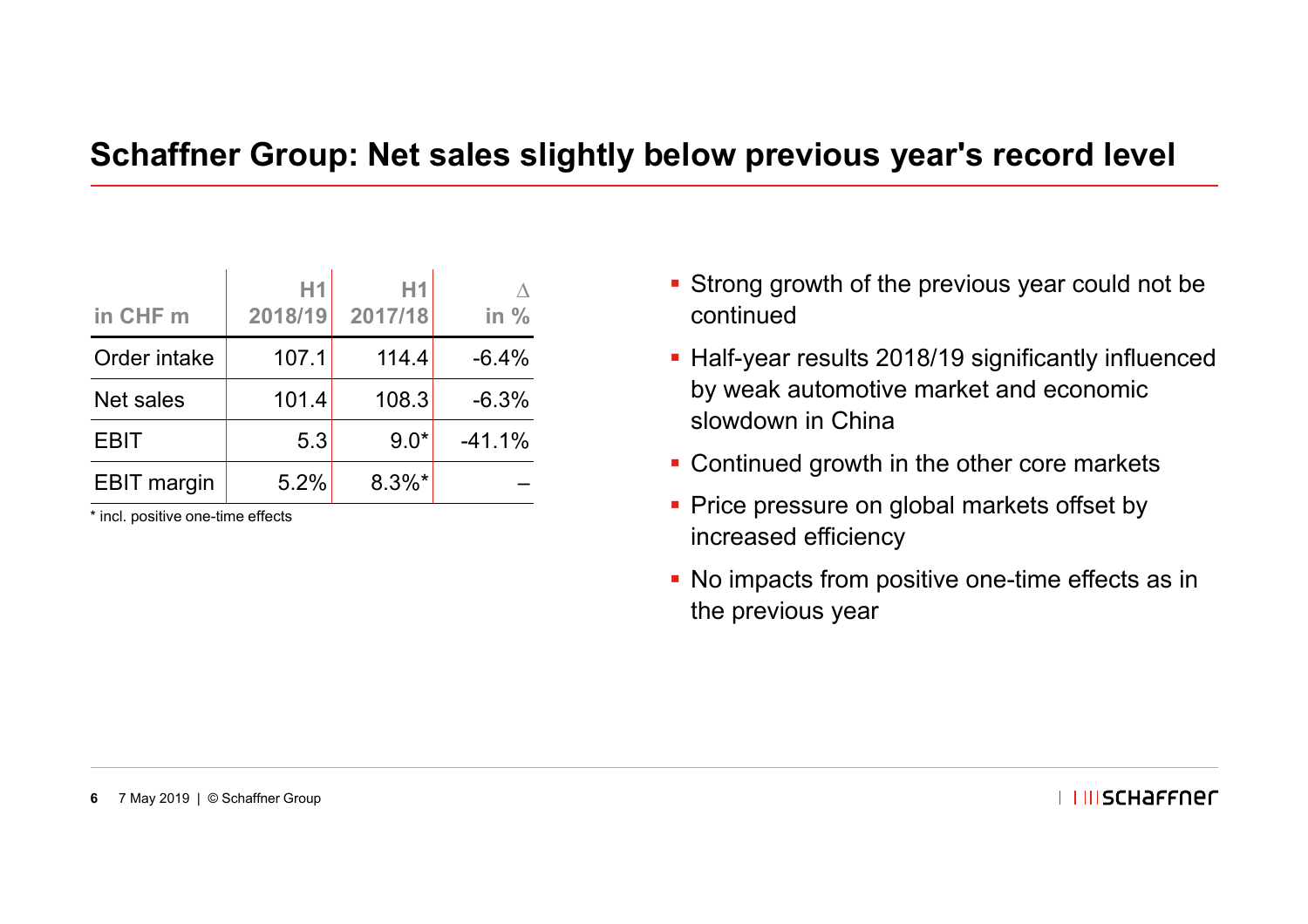#### **Schaffner Group: Net sales slightly below previous year's record level**

| in CHF m           | H1<br>2018/19 | Η1<br>2017/18 | in $%$   |
|--------------------|---------------|---------------|----------|
| Order intake       | 107.1         | 114.4         | $-6.4%$  |
| Net sales          | 101.4         | 108.3         | $-6.3%$  |
| <b>EBIT</b>        | 5.3           | $9.0*$        | $-41.1%$ |
| <b>EBIT</b> margin | 5.2%          | $8.3\%$ *     |          |

\* incl. positive one-time effects

- Strong growth of the previous year could not be continued
- Half-year results 2018/19 significantly influenced by weak automotive market and economic slowdown in China
- **Continued growth in the other core markets**
- Price pressure on global markets offset by increased efficiency
- No impacts from positive one-time effects as in the previous year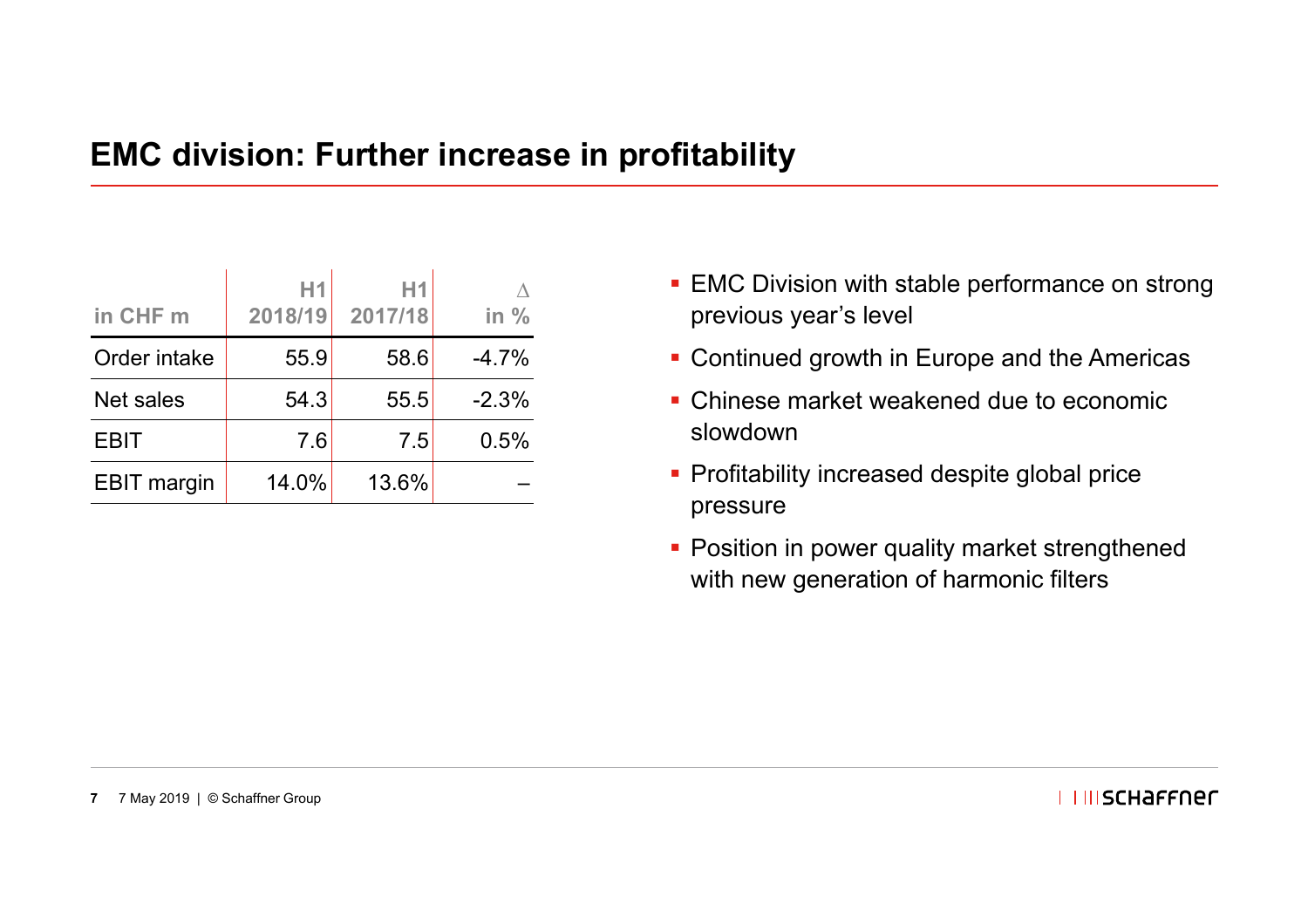#### **EMC division: Further increase in profitability**

| in CHF m           | H1<br>2018/19 | H1<br>2017/18 | in $%$  |
|--------------------|---------------|---------------|---------|
| Order intake       | 55.9          | 58.6          | $-4.7%$ |
| <b>Net sales</b>   | 54.3          | 55.5          | $-2.3%$ |
| <b>EBIT</b>        | 7.6           | 7.5           | 0.5%    |
| <b>EBIT</b> margin | 14.0%         | 13.6%         |         |

- **EMC Division with stable performance on strong** previous year's level
- **Continued growth in Europe and the Americas**
- Chinese market weakened due to economic slowdown
- Profitability increased despite global price pressure
- Position in power quality market strengthened with new generation of harmonic filters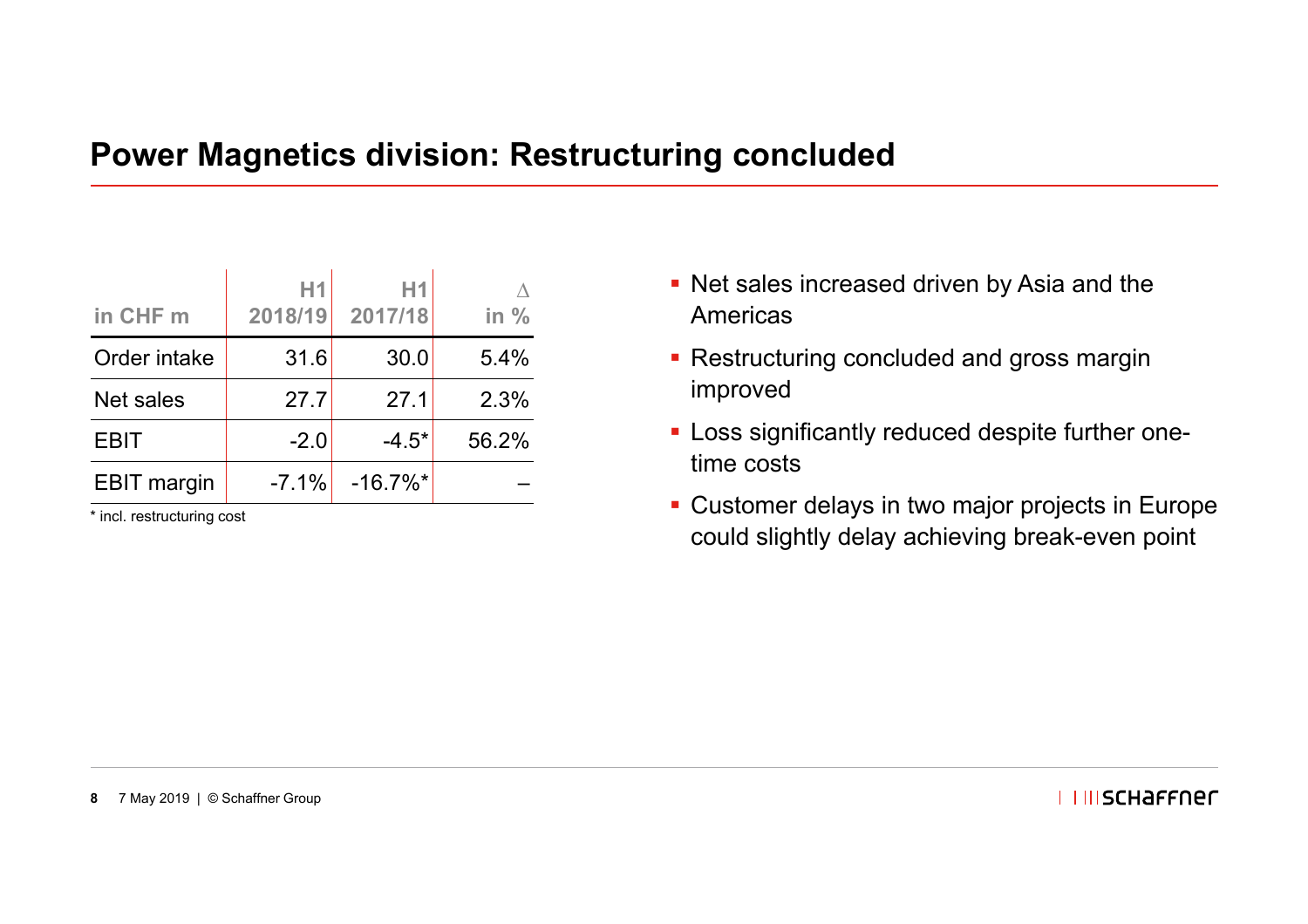#### **Power Magnetics division: Restructuring concluded**

| in CHF m           | H1<br>2018/19 | Н1<br>2017/18          | in $%$ |
|--------------------|---------------|------------------------|--------|
| Order intake       | 31.6          | 30.0                   | 5.4%   |
| <b>Net sales</b>   | 27.7          | 27.1                   | 2.3%   |
| <b>EBIT</b>        | $-2.0$        | $-4.5*$                | 56.2%  |
| <b>EBIT</b> margin | $-7.1%$       | $-16.7\%$ <sup>*</sup> |        |

\* incl. restructuring cost

- Net sales increased driven by Asia and the Americas
- Restructuring concluded and gross margin improved
- **Loss significantly reduced despite further one**time costs
- Customer delays in two major projects in Europe could slightly delay achieving break-even point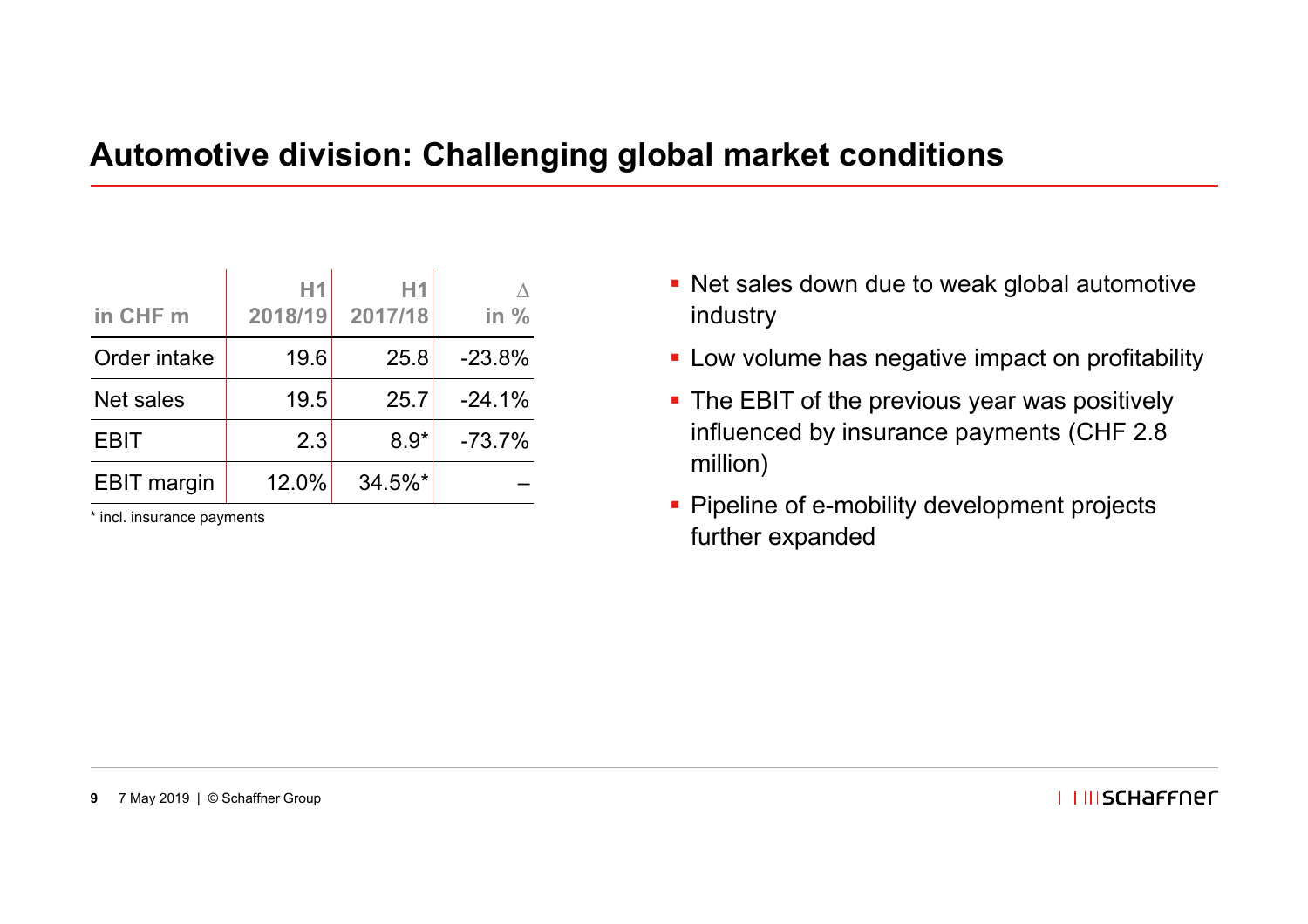#### **Automotive division: Challenging global market conditions**

| in CHF m           | H1<br>2018/19 | H1<br>2017/18 | in $%$   |
|--------------------|---------------|---------------|----------|
| Order intake       | 19.6          | 25.8          | $-23.8%$ |
| <b>Net sales</b>   | 19.5          | 25.7          | $-24.1%$ |
| <b>EBIT</b>        | 2.3           | $8.9*$        | $-73.7%$ |
| <b>EBIT</b> margin | 12.0%         | $34.5\%$ *    |          |

\* incl. insurance payments

- Net sales down due to weak global automotive industry
- **EXEC** Low volume has negative impact on profitability
- **The EBIT of the previous year was positively** influenced by insurance payments (CHF 2.8 million)
- **Pipeline of e-mobility development projects** further expanded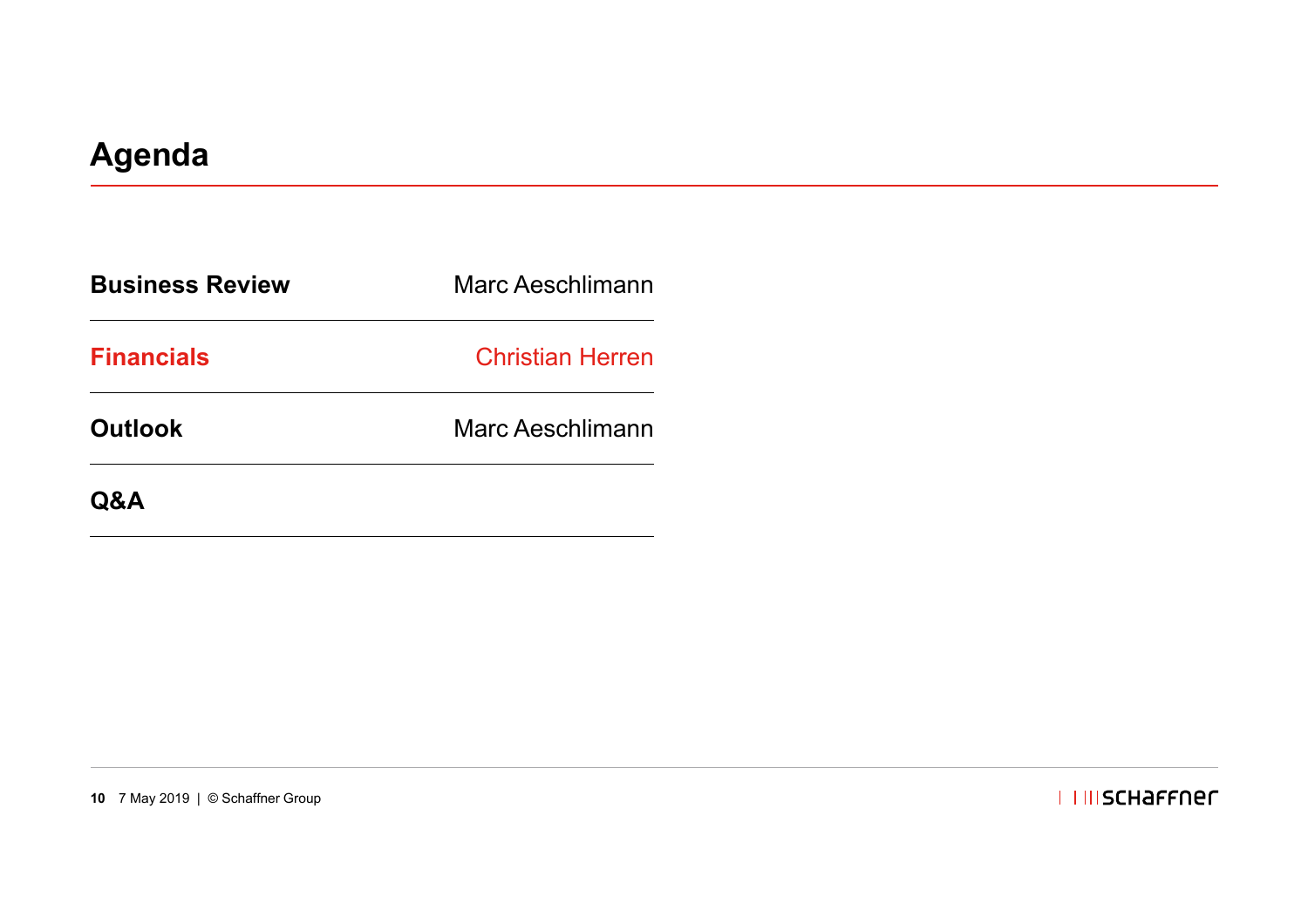| <b>Business Review</b> | Marc Aeschlimann        |  |
|------------------------|-------------------------|--|
| <b>Financials</b>      | <b>Christian Herren</b> |  |
| <b>Outlook</b>         | Marc Aeschlimann        |  |
| <b>Q&amp;A</b>         |                         |  |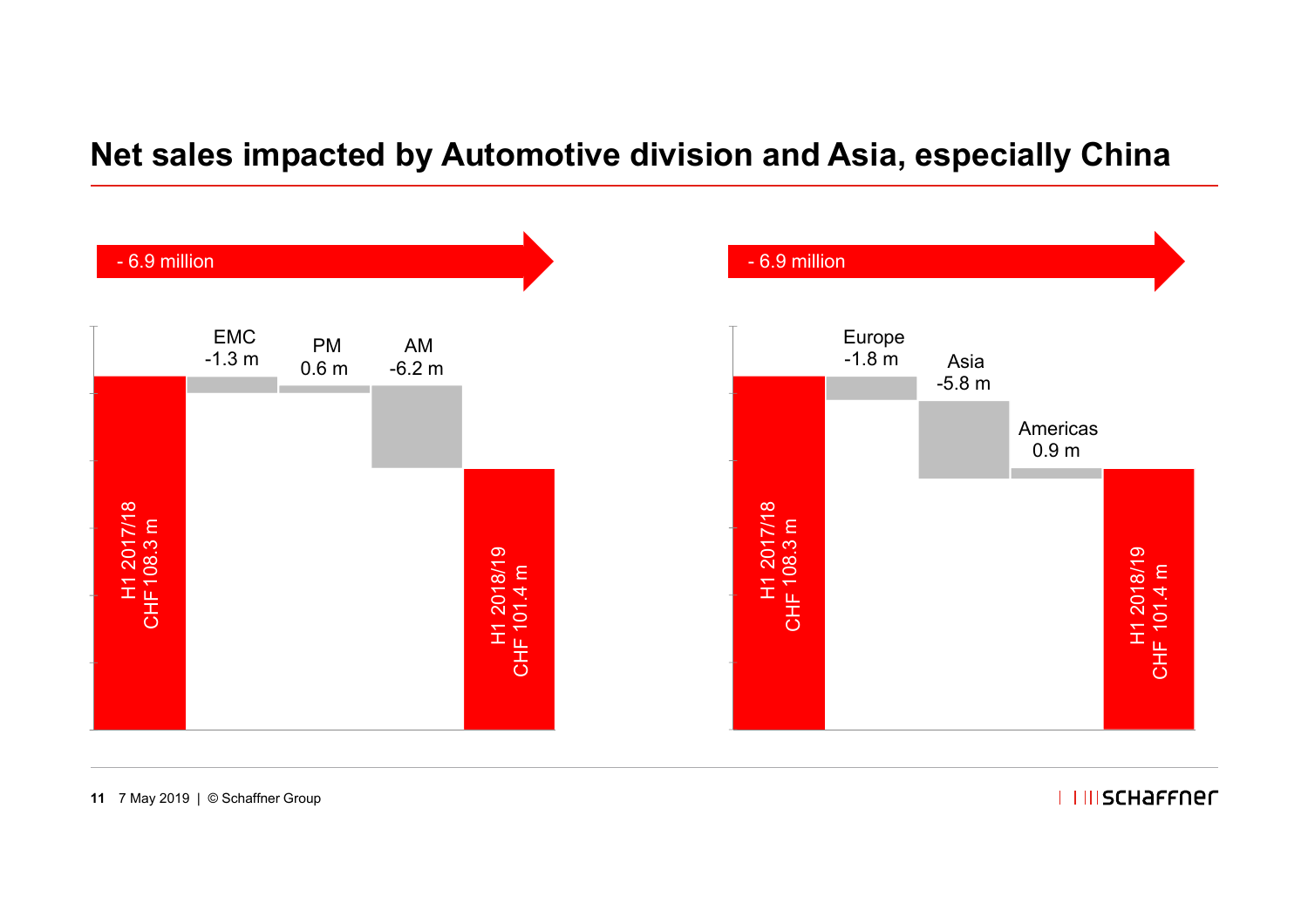#### **Net sales impacted by Automotive division and Asia, especially China**



**11** 7 May 2019 | © Schaffner Group

**I IIIISCHAFFNEL**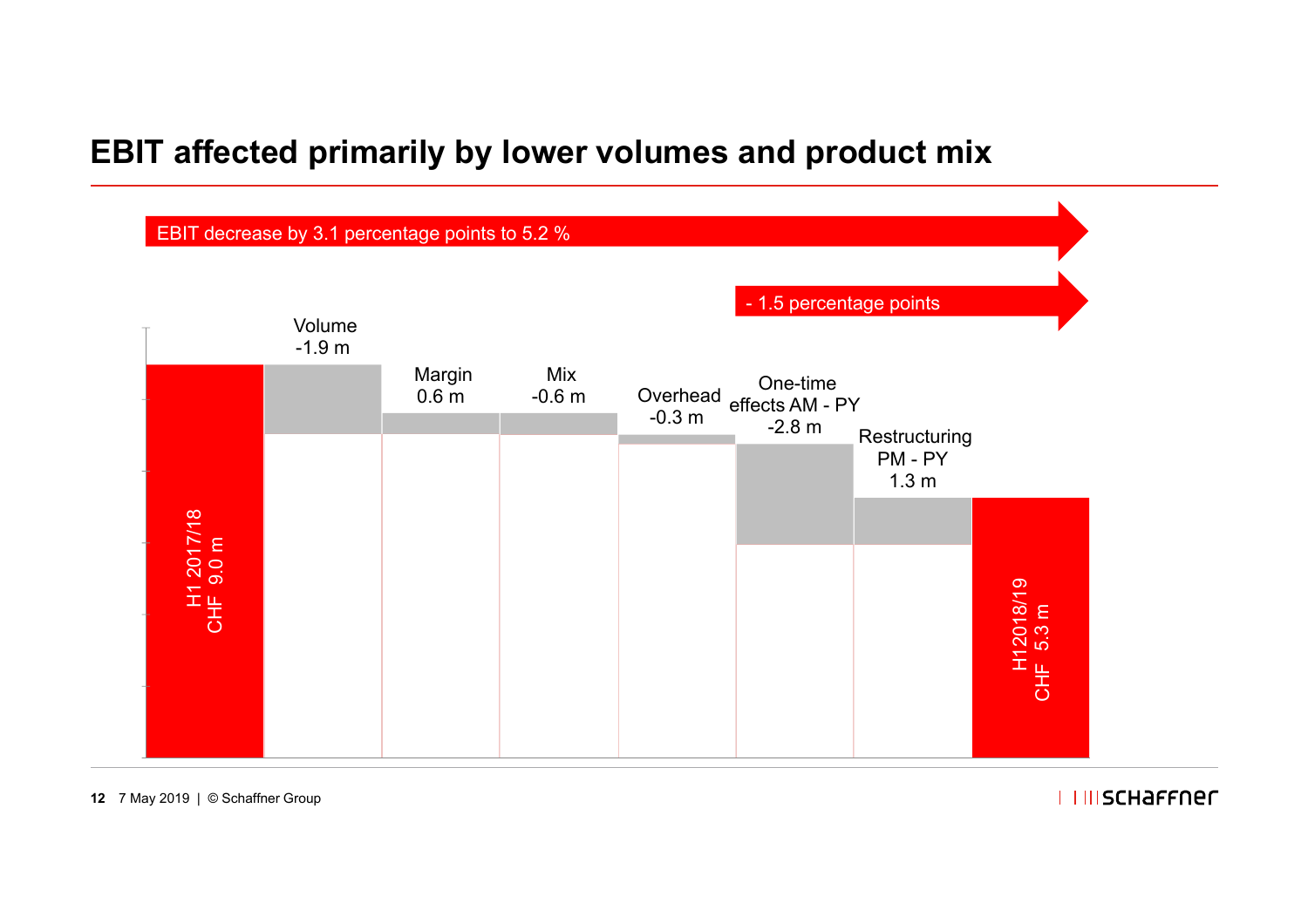#### **EBIT affected primarily by lower volumes and product mix**



**12** 7 May 2019 | © Schaffner Group

**I IIISCHAFFNEL**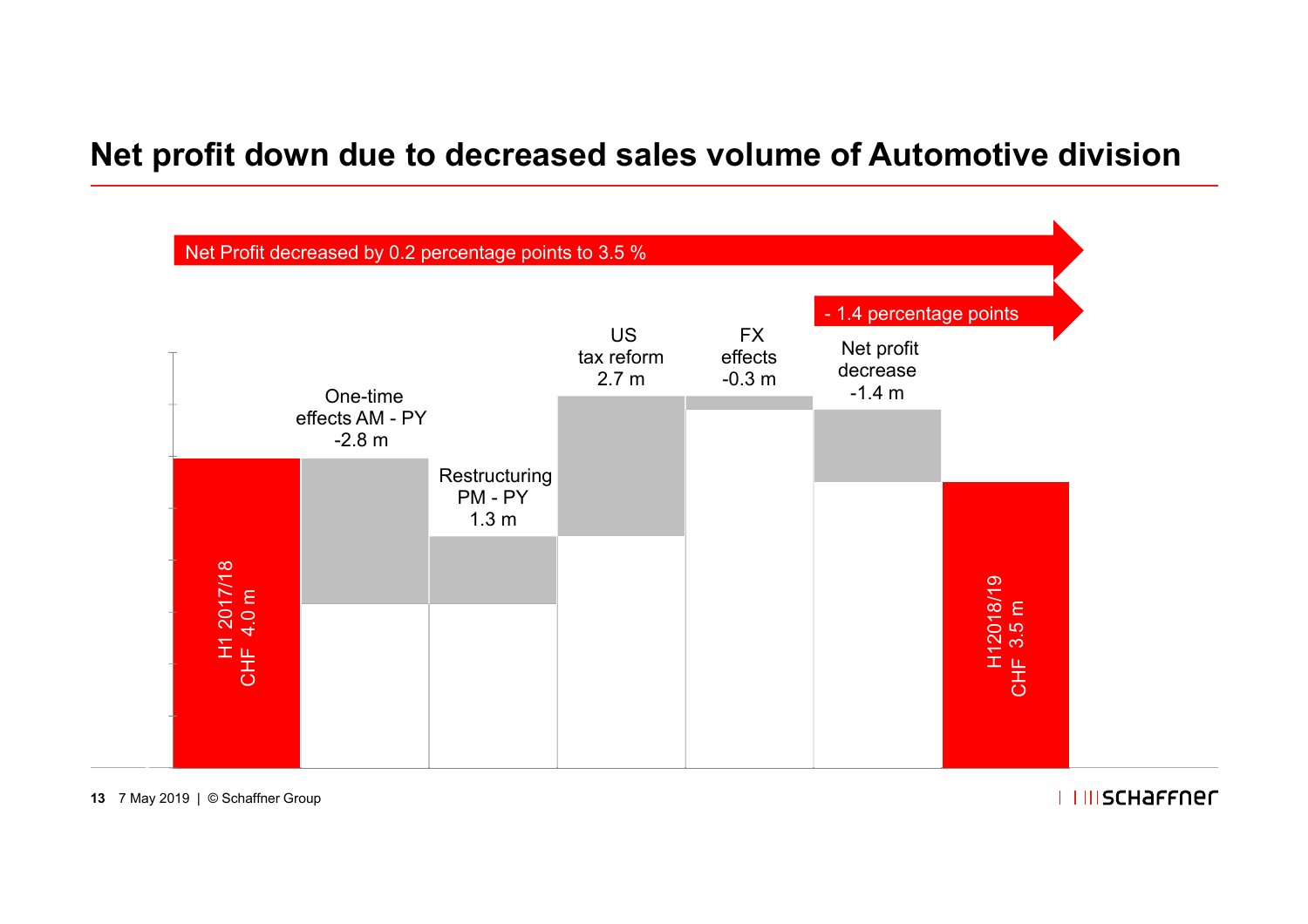### **Net profit down due to decreased sales volume of Automotive division**



**13** 7 May 2019 | © Schaffner Group

**I IIISCHAFFNEL**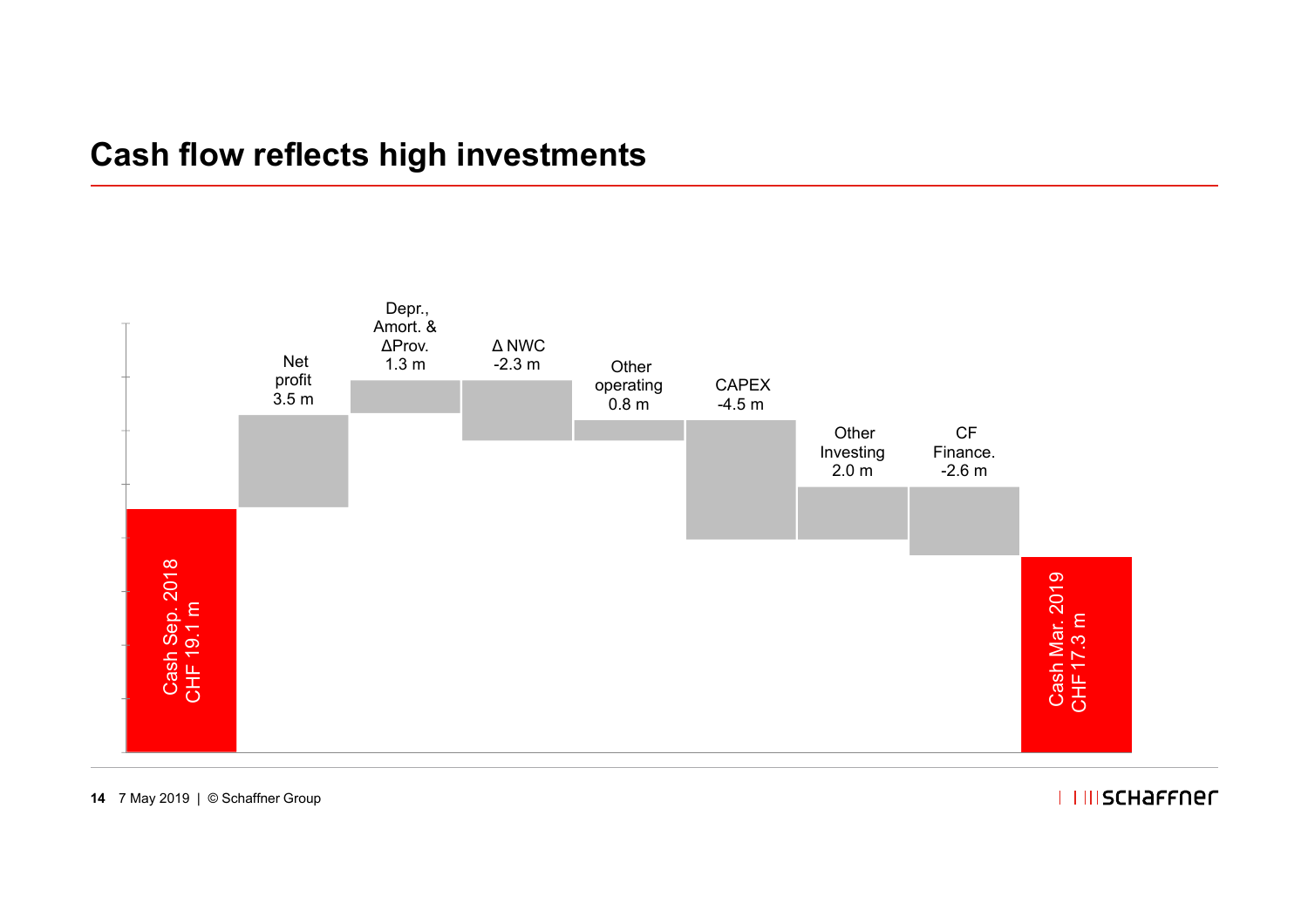#### **Cash flow reflects high investments**



**14** 7 May 2019 | © Schaffner Group

#### **I IIISCHAFFNEL**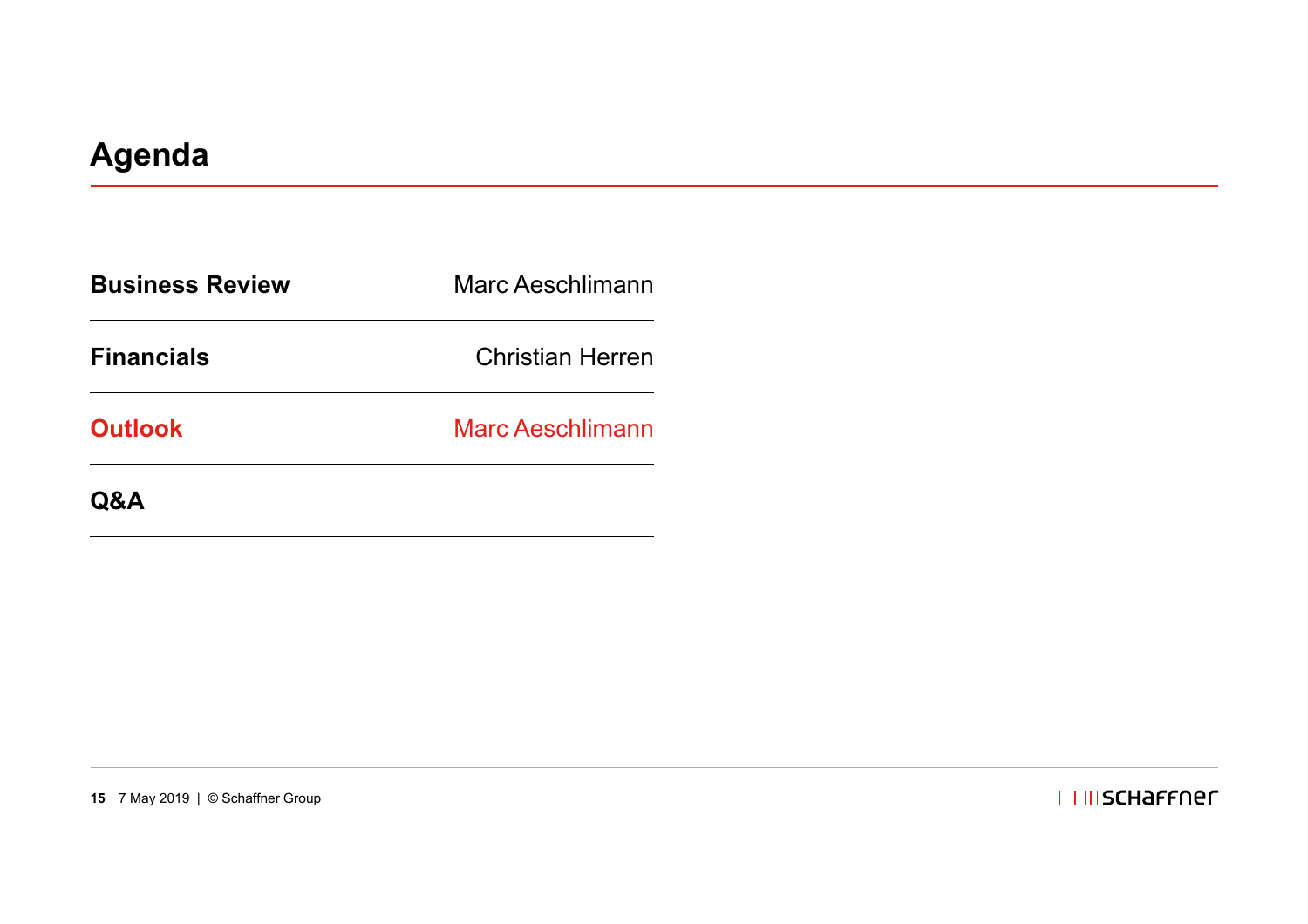| <b>Business Review</b> | Marc Aeschlimann        |  |
|------------------------|-------------------------|--|
| <b>Financials</b>      | <b>Christian Herren</b> |  |
| <b>Outlook</b>         | <b>Marc Aeschlimann</b> |  |
| <b>Q&amp;A</b>         |                         |  |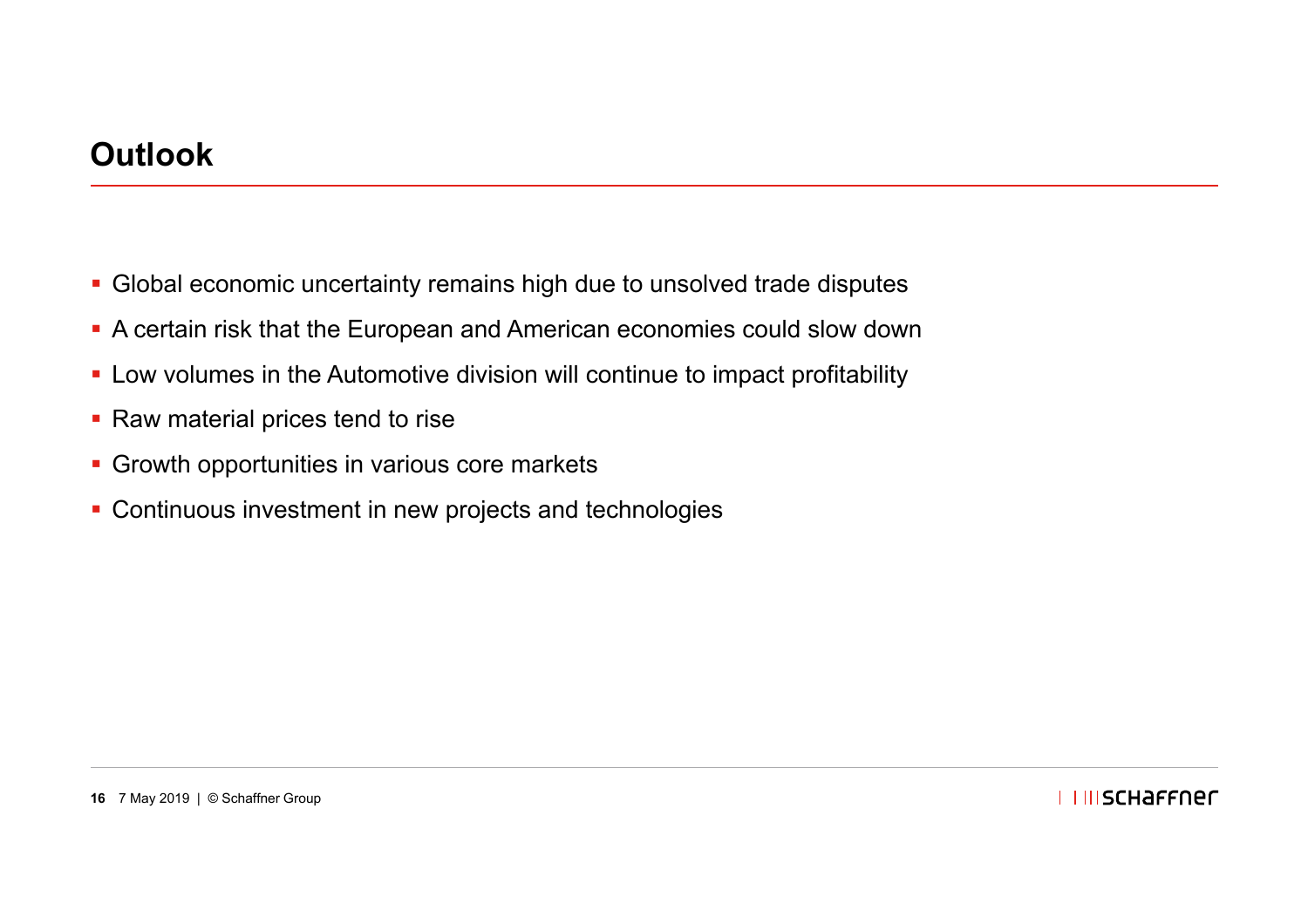#### **Outlook**

- Global economic uncertainty remains high due to unsolved trade disputes
- A certain risk that the European and American economies could slow down
- Low volumes in the Automotive division will continue to impact profitability
- Raw material prices tend to rise
- **Growth opportunities in various core markets**
- **Continuous investment in new projects and technologies**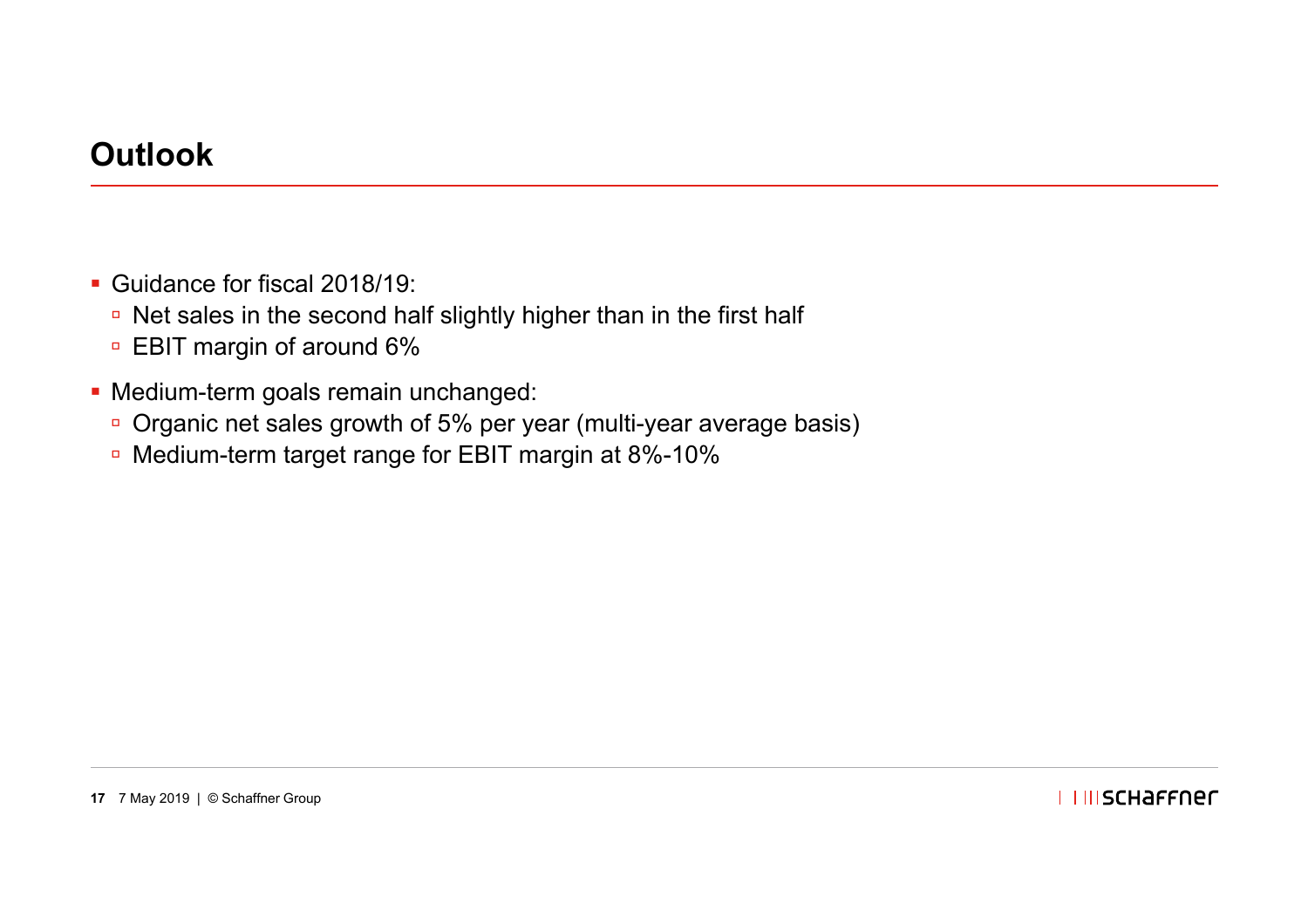#### **Outlook**

- Guidance for fiscal 2018/19:
	- □ Net sales in the second half slightly higher than in the first half
	- □ EBIT margin of around 6%
- Medium-term goals remain unchanged:
	- □ Organic net sales growth of 5% per year (multi-year average basis)
	- Medium-term target range for EBIT margin at 8%-10%